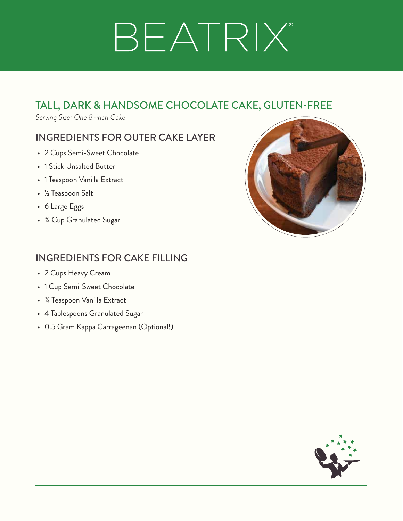## BEATRIX®

## TALL, DARK & HANDSOME CHOCOLATE CAKE, GLUTEN-FREE

*Serving Size: One 8-inch Cake*

### INGREDIENTS FOR OUTER CAKE LAYER

- 2 Cups Semi-Sweet Chocolate
- 1 Stick Unsalted Butter
- 1 Teaspoon Vanilla Extract
- ½ Teaspoon Salt
- 6 Large Eggs
- ¾ Cup Granulated Sugar



## INGREDIENTS FOR CAKE FILLING

- 2 Cups Heavy Cream
- 1 Cup Semi-Sweet Chocolate
- ¾ Teaspoon Vanilla Extract
- 4 Tablespoons Granulated Sugar
- 0.5 Gram Kappa Carrageenan (Optional!)